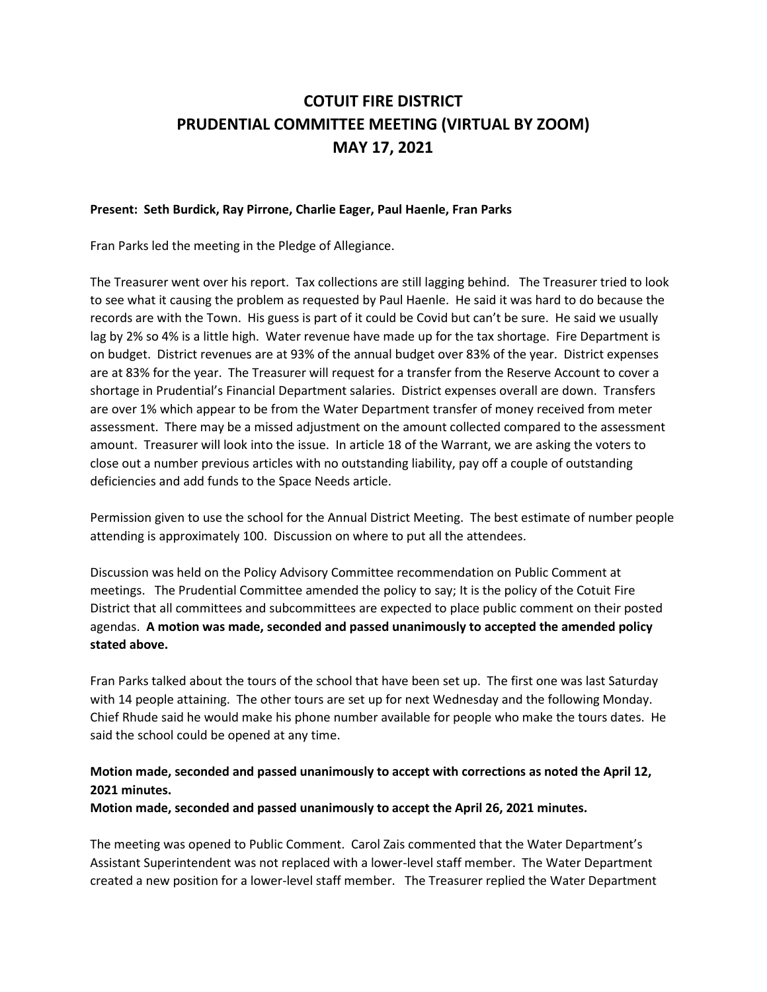## **COTUIT FIRE DISTRICT PRUDENTIAL COMMITTEE MEETING (VIRTUAL BY ZOOM) MAY 17, 2021**

## **Present: Seth Burdick, Ray Pirrone, Charlie Eager, Paul Haenle, Fran Parks**

Fran Parks led the meeting in the Pledge of Allegiance.

The Treasurer went over his report. Tax collections are still lagging behind. The Treasurer tried to look to see what it causing the problem as requested by Paul Haenle. He said it was hard to do because the records are with the Town. His guess is part of it could be Covid but can't be sure. He said we usually lag by 2% so 4% is a little high. Water revenue have made up for the tax shortage. Fire Department is on budget. District revenues are at 93% of the annual budget over 83% of the year. District expenses are at 83% for the year. The Treasurer will request for a transfer from the Reserve Account to cover a shortage in Prudential's Financial Department salaries. District expenses overall are down. Transfers are over 1% which appear to be from the Water Department transfer of money received from meter assessment. There may be a missed adjustment on the amount collected compared to the assessment amount. Treasurer will look into the issue. In article 18 of the Warrant, we are asking the voters to close out a number previous articles with no outstanding liability, pay off a couple of outstanding deficiencies and add funds to the Space Needs article.

Permission given to use the school for the Annual District Meeting. The best estimate of number people attending is approximately 100. Discussion on where to put all the attendees.

Discussion was held on the Policy Advisory Committee recommendation on Public Comment at meetings. The Prudential Committee amended the policy to say; It is the policy of the Cotuit Fire District that all committees and subcommittees are expected to place public comment on their posted agendas. **A motion was made, seconded and passed unanimously to accepted the amended policy stated above.**

Fran Parks talked about the tours of the school that have been set up. The first one was last Saturday with 14 people attaining. The other tours are set up for next Wednesday and the following Monday. Chief Rhude said he would make his phone number available for people who make the tours dates. He said the school could be opened at any time.

## **Motion made, seconded and passed unanimously to accept with corrections as noted the April 12, 2021 minutes.**

**Motion made, seconded and passed unanimously to accept the April 26, 2021 minutes.**

The meeting was opened to Public Comment. Carol Zais commented that the Water Department's Assistant Superintendent was not replaced with a lower-level staff member. The Water Department created a new position for a lower-level staff member. The Treasurer replied the Water Department